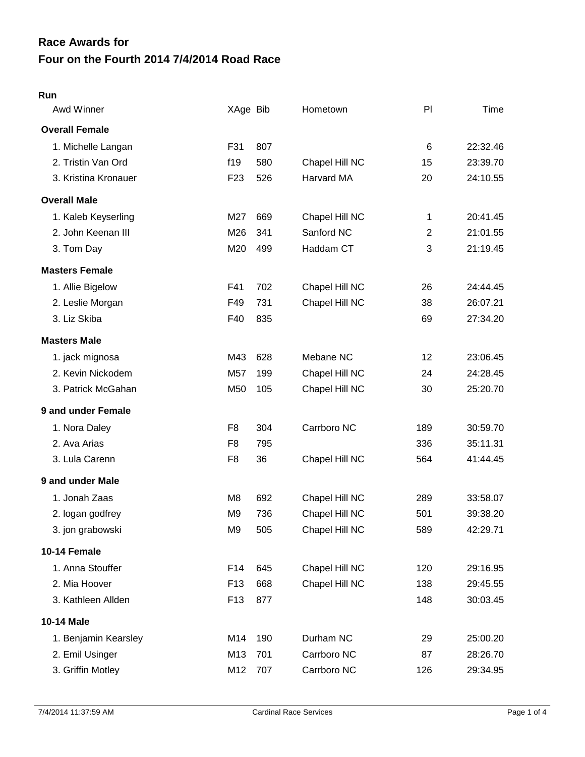# **Four on the Fourth 2014 7/4/2014 Road Race Race Awards for**

#### **Run**

| Awd Winner            | XAge Bib        |     | Hometown       | PI           | Time     |
|-----------------------|-----------------|-----|----------------|--------------|----------|
| <b>Overall Female</b> |                 |     |                |              |          |
| 1. Michelle Langan    | F31             | 807 |                | 6            | 22:32.46 |
| 2. Tristin Van Ord    | f19             | 580 | Chapel Hill NC | 15           | 23:39.70 |
| 3. Kristina Kronauer  | F <sub>23</sub> | 526 | Harvard MA     | 20           | 24:10.55 |
| <b>Overall Male</b>   |                 |     |                |              |          |
| 1. Kaleb Keyserling   | M27             | 669 | Chapel Hill NC | 1            | 20:41.45 |
| 2. John Keenan III    | M26             | 341 | Sanford NC     | $\mathbf{2}$ | 21:01.55 |
| 3. Tom Day            | M20             | 499 | Haddam CT      | 3            | 21:19.45 |
| <b>Masters Female</b> |                 |     |                |              |          |
| 1. Allie Bigelow      | F41             | 702 | Chapel Hill NC | 26           | 24:44.45 |
| 2. Leslie Morgan      | F49             | 731 | Chapel Hill NC | 38           | 26:07.21 |
| 3. Liz Skiba          | F40             | 835 |                | 69           | 27:34.20 |
| <b>Masters Male</b>   |                 |     |                |              |          |
| 1. jack mignosa       | M43             | 628 | Mebane NC      | 12           | 23:06.45 |
| 2. Kevin Nickodem     | M57             | 199 | Chapel Hill NC | 24           | 24:28.45 |
| 3. Patrick McGahan    | M50             | 105 | Chapel Hill NC | 30           | 25:20.70 |
| 9 and under Female    |                 |     |                |              |          |
| 1. Nora Daley         | F <sub>8</sub>  | 304 | Carrboro NC    | 189          | 30:59.70 |
| 2. Ava Arias          | F <sub>8</sub>  | 795 |                | 336          | 35:11.31 |
| 3. Lula Carenn        | F <sub>8</sub>  | 36  | Chapel Hill NC | 564          | 41:44.45 |
| 9 and under Male      |                 |     |                |              |          |
| 1. Jonah Zaas         | M <sub>8</sub>  | 692 | Chapel Hill NC | 289          | 33:58.07 |
| 2. logan godfrey      | M <sub>9</sub>  | 736 | Chapel Hill NC | 501          | 39:38.20 |
| 3. jon grabowski      | M <sub>9</sub>  | 505 | Chapel Hill NC | 589          | 42:29.71 |
| 10-14 Female          |                 |     |                |              |          |
| 1. Anna Stouffer      | F14             | 645 | Chapel Hill NC | 120          | 29:16.95 |
| 2. Mia Hoover         | F <sub>13</sub> | 668 | Chapel Hill NC | 138          | 29:45.55 |
| 3. Kathleen Allden    | F <sub>13</sub> | 877 |                | 148          | 30:03.45 |
| 10-14 Male            |                 |     |                |              |          |
| 1. Benjamin Kearsley  | M14             | 190 | Durham NC      | 29           | 25:00.20 |
| 2. Emil Usinger       | M13             | 701 | Carrboro NC    | 87           | 28:26.70 |
| 3. Griffin Motley     | M12             | 707 | Carrboro NC    | 126          | 29:34.95 |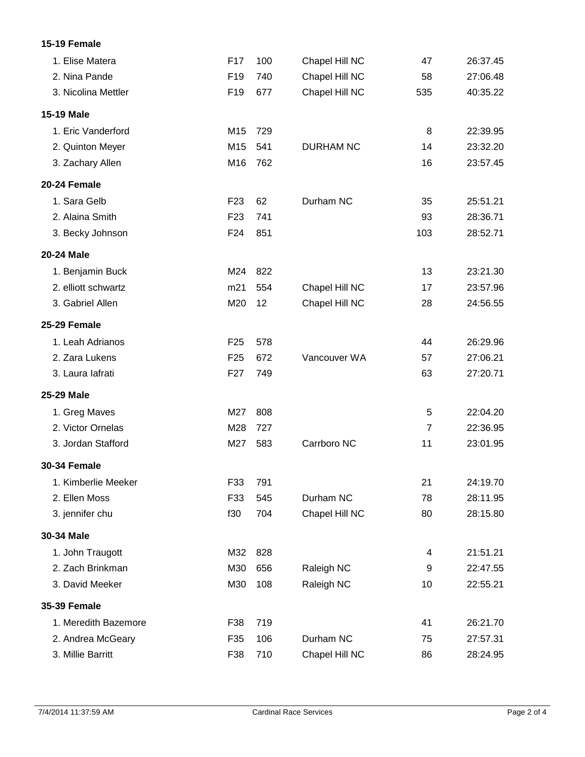### **15-19 Female**

| 1. Elise Matera      | F17             | 100 | Chapel Hill NC   | 47             | 26:37.45 |
|----------------------|-----------------|-----|------------------|----------------|----------|
| 2. Nina Pande        | F <sub>19</sub> | 740 | Chapel Hill NC   | 58             | 27:06.48 |
| 3. Nicolina Mettler  | F <sub>19</sub> | 677 | Chapel Hill NC   | 535            | 40:35.22 |
| <b>15-19 Male</b>    |                 |     |                  |                |          |
| 1. Eric Vanderford   | M15             | 729 |                  | 8              | 22:39.95 |
| 2. Quinton Meyer     | M15             | 541 | <b>DURHAM NC</b> | 14             | 23:32.20 |
| 3. Zachary Allen     | M16             | 762 |                  | 16             | 23:57.45 |
| 20-24 Female         |                 |     |                  |                |          |
| 1. Sara Gelb         | F <sub>23</sub> | 62  | Durham NC        | 35             | 25:51.21 |
| 2. Alaina Smith      | F <sub>23</sub> | 741 |                  | 93             | 28:36.71 |
| 3. Becky Johnson     | F24             | 851 |                  | 103            | 28:52.71 |
| <b>20-24 Male</b>    |                 |     |                  |                |          |
| 1. Benjamin Buck     | M24             | 822 |                  | 13             | 23:21.30 |
| 2. elliott schwartz  | m21             | 554 | Chapel Hill NC   | 17             | 23:57.96 |
| 3. Gabriel Allen     | M20             | 12  | Chapel Hill NC   | 28             | 24:56.55 |
| 25-29 Female         |                 |     |                  |                |          |
| 1. Leah Adrianos     | F <sub>25</sub> | 578 |                  | 44             | 26:29.96 |
| 2. Zara Lukens       | F <sub>25</sub> | 672 | Vancouver WA     | 57             | 27:06.21 |
| 3. Laura lafrati     | F <sub>27</sub> | 749 |                  | 63             | 27:20.71 |
| 25-29 Male           |                 |     |                  |                |          |
| 1. Greg Maves        | M27             | 808 |                  | 5              | 22:04.20 |
| 2. Victor Ornelas    | M28             | 727 |                  | $\overline{7}$ | 22:36.95 |
| 3. Jordan Stafford   | M27             | 583 | Carrboro NC      | 11             | 23:01.95 |
| <b>30-34 Female</b>  |                 |     |                  |                |          |
| 1. Kimberlie Meeker  | F33             | 791 |                  | 21             | 24:19.70 |
| 2. Ellen Moss        | F33             | 545 | Durham NC        | 78             | 28:11.95 |
| 3. jennifer chu      | f30             | 704 | Chapel Hill NC   | 80             | 28:15.80 |
| 30-34 Male           |                 |     |                  |                |          |
| 1. John Traugott     | M32             | 828 |                  | 4              | 21:51.21 |
| 2. Zach Brinkman     | M30             | 656 | Raleigh NC       | 9              | 22:47.55 |
| 3. David Meeker      | M30             | 108 | Raleigh NC       | 10             | 22:55.21 |
| <b>35-39 Female</b>  |                 |     |                  |                |          |
| 1. Meredith Bazemore | F38             | 719 |                  | 41             | 26:21.70 |
| 2. Andrea McGeary    | F35             | 106 | Durham NC        | 75             | 27:57.31 |
| 3. Millie Barritt    | F38             | 710 | Chapel Hill NC   | 86             | 28:24.95 |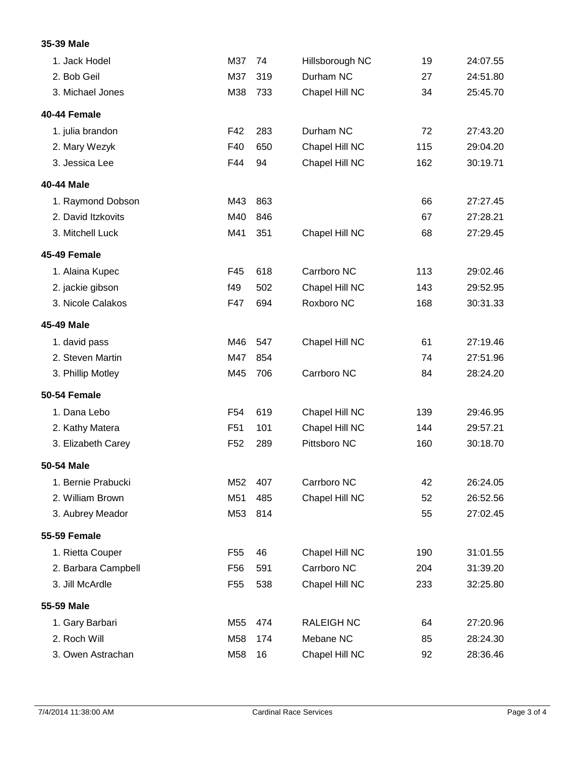## **35-39 Male**

| 1. Jack Hodel       | M37             | 74  | Hillsborough NC   | 19  | 24:07.55 |
|---------------------|-----------------|-----|-------------------|-----|----------|
| 2. Bob Geil         | M37             | 319 | Durham NC         | 27  | 24:51.80 |
| 3. Michael Jones    | M38             | 733 | Chapel Hill NC    | 34  | 25:45.70 |
| 40-44 Female        |                 |     |                   |     |          |
| 1. julia brandon    | F42             | 283 | Durham NC         | 72  | 27:43.20 |
| 2. Mary Wezyk       | F40             | 650 | Chapel Hill NC    | 115 | 29:04.20 |
| 3. Jessica Lee      | F44             | 94  | Chapel Hill NC    | 162 | 30:19.71 |
| 40-44 Male          |                 |     |                   |     |          |
| 1. Raymond Dobson   | M43             | 863 |                   | 66  | 27:27.45 |
| 2. David Itzkovits  | M40             | 846 |                   | 67  | 27:28.21 |
| 3. Mitchell Luck    | M41             | 351 | Chapel Hill NC    | 68  | 27:29.45 |
| 45-49 Female        |                 |     |                   |     |          |
| 1. Alaina Kupec     | F45             | 618 | Carrboro NC       | 113 | 29:02.46 |
| 2. jackie gibson    | f49             | 502 | Chapel Hill NC    | 143 | 29:52.95 |
| 3. Nicole Calakos   | F47             | 694 | Roxboro NC        | 168 | 30:31.33 |
| 45-49 Male          |                 |     |                   |     |          |
| 1. david pass       | M46             | 547 | Chapel Hill NC    | 61  | 27:19.46 |
| 2. Steven Martin    | M47             | 854 |                   | 74  | 27:51.96 |
| 3. Phillip Motley   | M45             | 706 | Carrboro NC       | 84  | 28:24.20 |
| 50-54 Female        |                 |     |                   |     |          |
| 1. Dana Lebo        | F <sub>54</sub> | 619 | Chapel Hill NC    | 139 | 29:46.95 |
| 2. Kathy Matera     | F <sub>51</sub> | 101 | Chapel Hill NC    | 144 | 29:57.21 |
| 3. Elizabeth Carey  | F <sub>52</sub> | 289 | Pittsboro NC      | 160 | 30:18.70 |
| 50-54 Male          |                 |     |                   |     |          |
| 1. Bernie Prabucki  | M52             | 407 | Carrboro NC       | 42  | 26:24.05 |
| 2. William Brown    | M51             | 485 | Chapel Hill NC    | 52  | 26:52.56 |
| 3. Aubrey Meador    | M53             | 814 |                   | 55  | 27:02.45 |
| <b>55-59 Female</b> |                 |     |                   |     |          |
| 1. Rietta Couper    | F <sub>55</sub> | 46  | Chapel Hill NC    | 190 | 31:01.55 |
| 2. Barbara Campbell | F <sub>56</sub> | 591 | Carrboro NC       | 204 | 31:39.20 |
| 3. Jill McArdle     | F <sub>55</sub> | 538 | Chapel Hill NC    | 233 | 32:25.80 |
| 55-59 Male          |                 |     |                   |     |          |
| 1. Gary Barbari     | M55             | 474 | <b>RALEIGH NC</b> | 64  | 27:20.96 |
| 2. Roch Will        | M58             | 174 | Mebane NC         | 85  | 28:24.30 |
| 3. Owen Astrachan   | M58             | 16  | Chapel Hill NC    | 92  | 28:36.46 |